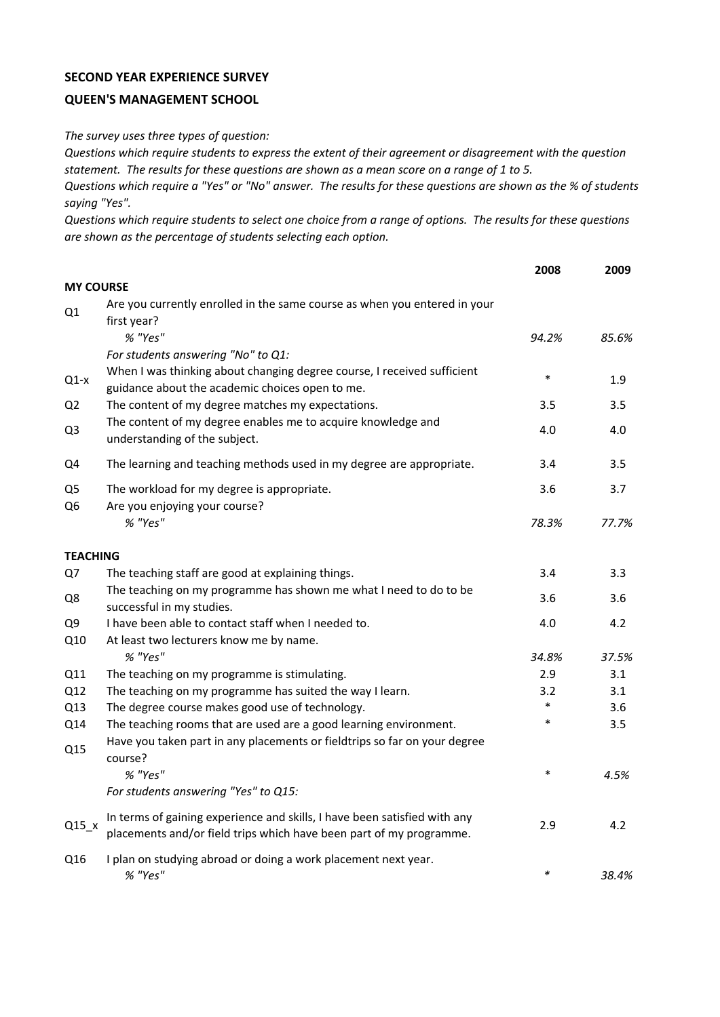## **SECOND YEAR EXPERIENCE SURVEY**

## **QUEEN'S MANAGEMENT SCHOOL**

*The survey uses three types of question:*

*Questions which require students to express the extent of their agreement or disagreement with the question statement. The results for these questions are shown as a mean score on a range of 1 to 5.*

*Questions which require a "Yes" or "No" answer. The results for these questions are shown as the % of students saying "Yes".*

*Questions which require students to select one choice from a range of options. The results for these questions are shown as the percentage of students selecting each option.*

|                                  |                                                                                                                                                  | 2008   | 2009  |
|----------------------------------|--------------------------------------------------------------------------------------------------------------------------------------------------|--------|-------|
| <b>MY COURSE</b>                 |                                                                                                                                                  |        |       |
| Q1                               | Are you currently enrolled in the same course as when you entered in your<br>first year?                                                         |        |       |
|                                  | % "Yes"                                                                                                                                          | 94.2%  | 85.6% |
|                                  | For students answering "No" to Q1:                                                                                                               |        |       |
| $Q1-x$                           | When I was thinking about changing degree course, I received sufficient<br>guidance about the academic choices open to me.                       | $\ast$ | 1.9   |
| Q <sub>2</sub>                   | The content of my degree matches my expectations.                                                                                                | 3.5    | 3.5   |
| Q <sub>3</sub>                   | The content of my degree enables me to acquire knowledge and<br>understanding of the subject.                                                    | 4.0    | 4.0   |
| Q4                               | The learning and teaching methods used in my degree are appropriate.                                                                             | 3.4    | 3.5   |
| Q <sub>5</sub><br>Q <sub>6</sub> | The workload for my degree is appropriate.<br>Are you enjoying your course?                                                                      | 3.6    | 3.7   |
|                                  | % "Yes"                                                                                                                                          | 78.3%  | 77.7% |
| <b>TEACHING</b>                  |                                                                                                                                                  |        |       |
| Q7                               | The teaching staff are good at explaining things.                                                                                                | 3.4    | 3.3   |
| Q8                               | The teaching on my programme has shown me what I need to do to be<br>successful in my studies.                                                   | 3.6    | 3.6   |
| Q <sub>9</sub>                   | I have been able to contact staff when I needed to.                                                                                              | 4.0    | 4.2   |
| Q10                              | At least two lecturers know me by name.                                                                                                          |        |       |
|                                  | % "Yes"                                                                                                                                          | 34.8%  | 37.5% |
| Q11                              | The teaching on my programme is stimulating.                                                                                                     | 2.9    | 3.1   |
| Q12                              | The teaching on my programme has suited the way I learn.                                                                                         | 3.2    | 3.1   |
| Q13                              | The degree course makes good use of technology.                                                                                                  | $\ast$ | 3.6   |
| Q14                              | The teaching rooms that are used are a good learning environment.                                                                                | $\ast$ | 3.5   |
| Q15                              | Have you taken part in any placements or fieldtrips so far on your degree<br>course?                                                             |        |       |
|                                  | % "Yes"                                                                                                                                          | $\ast$ | 4.5%  |
|                                  | For students answering "Yes" to Q15:                                                                                                             |        |       |
| $Q15_x$                          | In terms of gaining experience and skills, I have been satisfied with any<br>placements and/or field trips which have been part of my programme. | 2.9    | 4.2   |
| Q16                              | I plan on studying abroad or doing a work placement next year.<br>% "Yes"                                                                        | $\ast$ | 38.4% |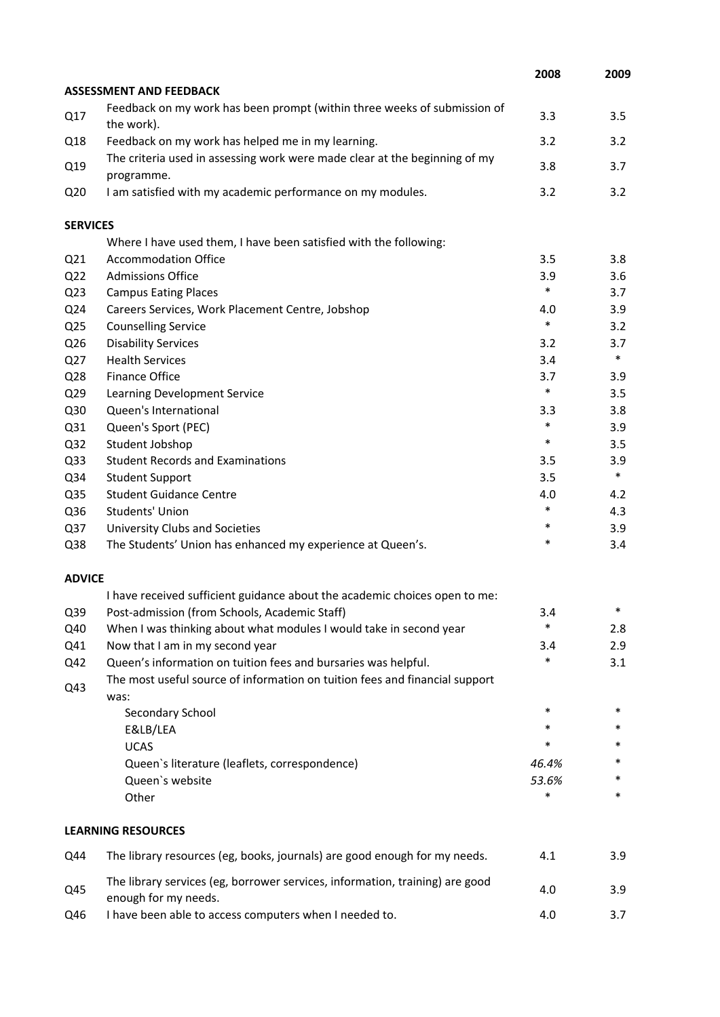|                 |                                                                                                      | 2008   | 2009   |
|-----------------|------------------------------------------------------------------------------------------------------|--------|--------|
|                 | <b>ASSESSMENT AND FEEDBACK</b>                                                                       |        |        |
| Q17             | Feedback on my work has been prompt (within three weeks of submission of<br>the work).               | 3.3    | 3.5    |
| Q18             | Feedback on my work has helped me in my learning.                                                    | 3.2    | 3.2    |
| Q19             | The criteria used in assessing work were made clear at the beginning of my<br>programme.             | 3.8    | 3.7    |
| Q <sub>20</sub> | I am satisfied with my academic performance on my modules.                                           | 3.2    | 3.2    |
| <b>SERVICES</b> |                                                                                                      |        |        |
|                 | Where I have used them, I have been satisfied with the following:                                    |        |        |
| Q <sub>21</sub> | <b>Accommodation Office</b>                                                                          | 3.5    | 3.8    |
| Q <sub>22</sub> | <b>Admissions Office</b>                                                                             | 3.9    | 3.6    |
| Q <sub>23</sub> | <b>Campus Eating Places</b>                                                                          | $\ast$ | 3.7    |
| Q24             | Careers Services, Work Placement Centre, Jobshop                                                     | 4.0    | 3.9    |
| Q <sub>25</sub> | <b>Counselling Service</b>                                                                           | $\ast$ | 3.2    |
| Q26             | <b>Disability Services</b>                                                                           | 3.2    | 3.7    |
| Q27             | <b>Health Services</b>                                                                               | 3.4    | $\ast$ |
| Q28             | <b>Finance Office</b>                                                                                | 3.7    | 3.9    |
| Q29             | Learning Development Service                                                                         | $\ast$ | 3.5    |
| Q30             | Queen's International                                                                                | 3.3    | 3.8    |
| Q31             | Queen's Sport (PEC)                                                                                  | $\ast$ | 3.9    |
| Q <sub>32</sub> | Student Jobshop                                                                                      | $\ast$ | 3.5    |
| Q <sub>33</sub> | <b>Student Records and Examinations</b>                                                              | 3.5    | 3.9    |
| Q34             | <b>Student Support</b>                                                                               | 3.5    | $\ast$ |
| Q35             | <b>Student Guidance Centre</b>                                                                       | 4.0    | 4.2    |
| Q36             | Students' Union                                                                                      | $\ast$ | 4.3    |
| Q37             | University Clubs and Societies                                                                       | $\ast$ | 3.9    |
| Q38             | The Students' Union has enhanced my experience at Queen's.                                           | *      | 3.4    |
| <b>ADVICE</b>   |                                                                                                      |        |        |
|                 | I have received sufficient guidance about the academic choices open to me:                           |        |        |
| Q39             | Post-admission (from Schools, Academic Staff)                                                        | 3.4    | *      |
| Q40             | When I was thinking about what modules I would take in second year                                   | *      | 2.8    |
| Q41             | Now that I am in my second year                                                                      | 3.4    | 2.9    |
| Q42             | Queen's information on tuition fees and bursaries was helpful.                                       | $\ast$ | 3.1    |
| Q43             | The most useful source of information on tuition fees and financial support<br>was:                  |        |        |
|                 | Secondary School                                                                                     | $\ast$ | $\ast$ |
|                 | E&LB/LEA                                                                                             | $\ast$ | *      |
|                 | <b>UCAS</b>                                                                                          | *      | *      |
|                 | Queen's literature (leaflets, correspondence)                                                        | 46.4%  | *      |
|                 | Queen's website                                                                                      | 53.6%  | *      |
|                 | Other                                                                                                | *      | *      |
|                 | <b>LEARNING RESOURCES</b>                                                                            |        |        |
| Q44             | The library resources (eg, books, journals) are good enough for my needs.                            | 4.1    | 3.9    |
| Q45             | The library services (eg, borrower services, information, training) are good<br>enough for my needs. | 4.0    | 3.9    |
| Q46             | I have been able to access computers when I needed to.                                               | 4.0    | 3.7    |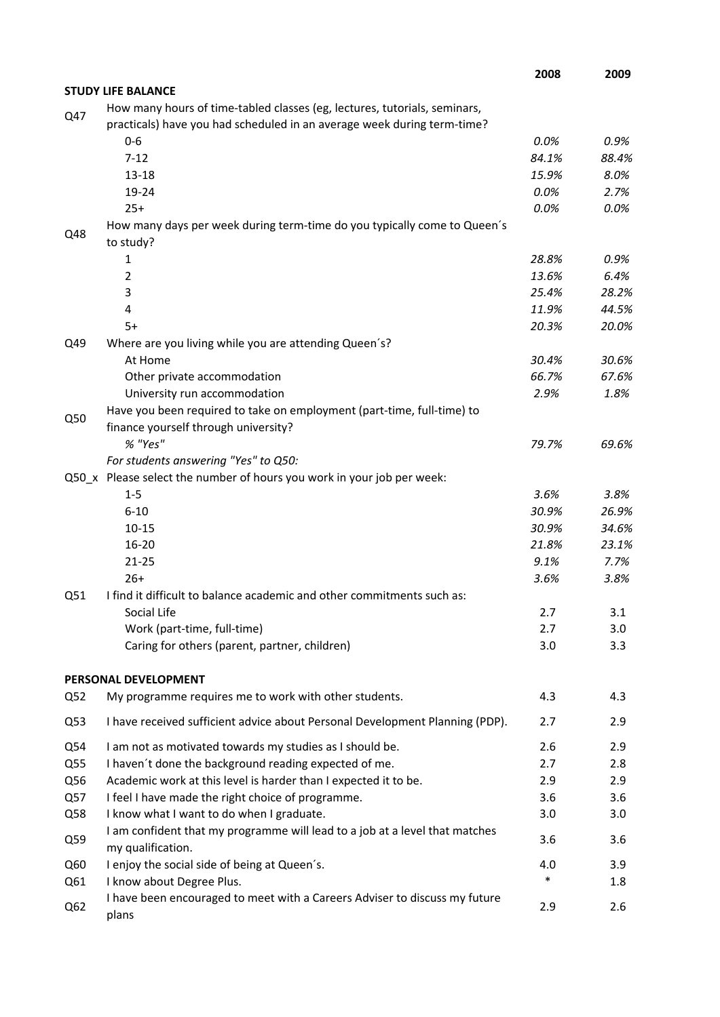|     |                                                                                                                                                      | 2008         | 2009         |
|-----|------------------------------------------------------------------------------------------------------------------------------------------------------|--------------|--------------|
|     | <b>STUDY LIFE BALANCE</b>                                                                                                                            |              |              |
| Q47 | How many hours of time-tabled classes (eg, lectures, tutorials, seminars,<br>practicals) have you had scheduled in an average week during term-time? |              |              |
|     | $0 - 6$                                                                                                                                              | 0.0%         | 0.9%         |
|     | $7 - 12$                                                                                                                                             | 84.1%        | 88.4%        |
|     | $13 - 18$                                                                                                                                            | 15.9%        | 8.0%         |
|     | 19-24                                                                                                                                                | 0.0%         | 2.7%         |
|     | $25+$                                                                                                                                                | 0.0%         | 0.0%         |
| Q48 | How many days per week during term-time do you typically come to Queen's<br>to study?                                                                |              |              |
|     | 1                                                                                                                                                    | 28.8%        | 0.9%         |
|     | $\overline{2}$                                                                                                                                       | 13.6%        | 6.4%         |
|     | 3                                                                                                                                                    | 25.4%        | 28.2%        |
|     | 4                                                                                                                                                    | 11.9%        | 44.5%        |
|     | $5+$                                                                                                                                                 | 20.3%        | 20.0%        |
| Q49 | Where are you living while you are attending Queen's?                                                                                                |              |              |
|     | At Home                                                                                                                                              | 30.4%        | 30.6%        |
|     | Other private accommodation                                                                                                                          | 66.7%        | 67.6%        |
|     | University run accommodation                                                                                                                         | 2.9%         | 1.8%         |
| Q50 | Have you been required to take on employment (part-time, full-time) to                                                                               |              |              |
|     | finance yourself through university?                                                                                                                 |              |              |
|     | % "Yes"                                                                                                                                              | 79.7%        | 69.6%        |
|     | For students answering "Yes" to Q50:                                                                                                                 |              |              |
|     | Q50_x Please select the number of hours you work in your job per week:                                                                               |              |              |
|     | $1 - 5$                                                                                                                                              | 3.6%         | 3.8%         |
|     | $6 - 10$                                                                                                                                             | 30.9%        | 26.9%        |
|     | $10 - 15$                                                                                                                                            | 30.9%        | 34.6%        |
|     | $16 - 20$<br>$21 - 25$                                                                                                                               | 21.8%        | 23.1%        |
|     | $26+$                                                                                                                                                | 9.1%<br>3.6% | 7.7%<br>3.8% |
| Q51 | I find it difficult to balance academic and other commitments such as:                                                                               |              |              |
|     | Social Life                                                                                                                                          | 2.7          | 3.1          |
|     | Work (part-time, full-time)                                                                                                                          | 2.7          | 3.0          |
|     | Caring for others (parent, partner, children)                                                                                                        | 3.0          | 3.3          |
|     |                                                                                                                                                      |              |              |
|     | PERSONAL DEVELOPMENT<br>My programme requires me to work with other students.                                                                        | 4.3          |              |
| Q52 |                                                                                                                                                      |              | 4.3          |
| Q53 | I have received sufficient advice about Personal Development Planning (PDP).                                                                         | 2.7          | 2.9          |
| Q54 | I am not as motivated towards my studies as I should be.                                                                                             | 2.6          | 2.9          |
| Q55 | I haven't done the background reading expected of me.                                                                                                | 2.7          | 2.8          |
| Q56 | Academic work at this level is harder than I expected it to be.                                                                                      | 2.9          | 2.9          |
| Q57 | I feel I have made the right choice of programme.                                                                                                    | 3.6          | 3.6          |
| Q58 | I know what I want to do when I graduate.                                                                                                            | 3.0          | 3.0          |
| Q59 | I am confident that my programme will lead to a job at a level that matches<br>my qualification.                                                     | 3.6          | 3.6          |
| Q60 | I enjoy the social side of being at Queen's.                                                                                                         | 4.0          | 3.9          |
| Q61 | I know about Degree Plus.                                                                                                                            | $\ast$       | 1.8          |
| Q62 | I have been encouraged to meet with a Careers Adviser to discuss my future<br>plans                                                                  | 2.9          | 2.6          |